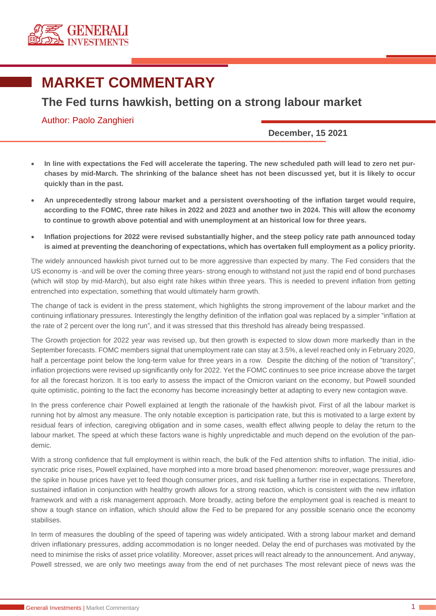

## **MARKET COMMENTARY**

## **The Fed turns hawkish, betting on a strong labour market**

Author: Paolo Zanghieri

**December, 15 2021**

- **In line with expectations the Fed will accelerate the tapering. The new scheduled path will lead to zero net purchases by mid-March. The shrinking of the balance sheet has not been discussed yet, but it is likely to occur quickly than in the past.**
- **An unprecedentedly strong labour market and a persistent overshooting of the inflation target would require, according to the FOMC, three rate hikes in 2022 and 2023 and another two in 2024. This will allow the economy to continue to growth above potential and with unemployment at an historical low for three years.**
- **Inflation projections for 2022 were revised substantially higher, and the steep policy rate path announced today is aimed at preventing the deanchoring of expectations, which has overtaken full employment as a policy priority.**

The widely announced hawkish pivot turned out to be more aggressive than expected by many. The Fed considers that the US economy is -and will be over the coming three years- strong enough to withstand not just the rapid end of bond purchases (which will stop by mid-March), but also eight rate hikes within three years. This is needed to prevent inflation from getting entrenched into expectation, something that would ultimately harm growth.

The change of tack is evident in the press statement, which highlights the strong improvement of the labour market and the continuing inflationary pressures. Interestingly the lengthy definition of the inflation goal was replaced by a simpler "inflation at the rate of 2 percent over the long run", and it was stressed that this threshold has already being trespassed.

The Growth projection for 2022 year was revised up, but then growth is expected to slow down more markedly than in the September forecasts. FOMC members signal that unemployment rate can stay at 3.5%, a level reached only in February 2020, half a percentage point below the long-term value for three years in a row. Despite the ditching of the notion of "transitory", inflation projections were revised up significantly only for 2022. Yet the FOMC continues to see price increase above the target for all the forecast horizon. It is too early to assess the impact of the Omicron variant on the economy, but Powell sounded quite optimistic, pointing to the fact the economy has become increasingly better at adapting to every new contagion wave.

In the press conference chair Powell explained at length the rationale of the hawkish pivot. First of all the labour market is running hot by almost any measure. The only notable exception is participation rate, but this is motivated to a large extent by residual fears of infection, caregiving obligation and in some cases, wealth effect allwing people to delay the return to the labour market. The speed at which these factors wane is highly unpredictable and much depend on the evolution of the pandemic.

With a strong confidence that full employment is within reach, the bulk of the Fed attention shifts to inflation. The initial, idiosyncratic price rises, Powell explained, have morphed into a more broad based phenomenon: moreover, wage pressures and the spike in house prices have yet to feed though consumer prices, and risk fuelling a further rise in expectations. Therefore, sustained inflation in conjunction with healthy growth allows for a strong reaction, which is consistent with the new inflation framework and with a risk management approach. More broadly, acting before the employment goal is reached is meant to show a tough stance on inflation, which should allow the Fed to be prepared for any possible scenario once the economy stabilises.

In term of measures the doubling of the speed of tapering was widely anticipated. With a strong labour market and demand driven inflationary pressures, adding accommodation is no longer needed. Delay the end of purchases was motivated by the need to minimise the risks of asset price volatility. Moreover, asset prices will react already to the announcement. And anyway, Powell stressed, we are only two meetings away from the end of net purchases The most relevant piece of news was the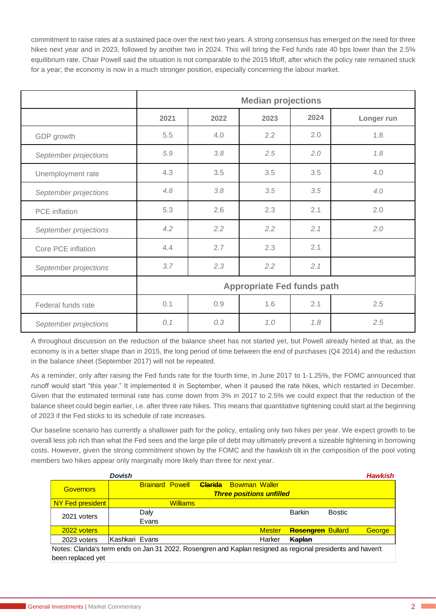commitment to raise rates at a sustained pace over the next two years. A strong consensus has emerged on the need for three hikes next year and in 2023, followed by another two in 2024. This will bring the Fed funds rate 40 bps lower than the 2.5% equilibrium rate. Chair Powell said the situation is not comparable to the 2015 liftoff, after which the policy rate remained stuck for a year; the economy is now in a much stronger position, especially concerning the labour market.

|                       | <b>Median projections</b>         |      |      |      |            |  |  |  |  |
|-----------------------|-----------------------------------|------|------|------|------------|--|--|--|--|
|                       | 2021                              | 2022 | 2023 | 2024 | Longer run |  |  |  |  |
| GDP growth            | 5.5                               | 4.0  | 2.2  | 2.0  | 1.8        |  |  |  |  |
| September projections | 5.9                               | 3.8  | 2.5  | 2.0  | 1.8        |  |  |  |  |
| Unemployment rate     | 4.3                               | 3.5  | 3.5  | 3.5  | 4.0        |  |  |  |  |
| September projections | 4.8                               | 3.8  | 3.5  | 3.5  | 4.0        |  |  |  |  |
| PCE inflation         | 5.3                               | 2.6  | 2.3  | 2.1  | 2.0        |  |  |  |  |
| September projections | 4.2                               | 2.2  | 2.2  | 2.1  | 2.0        |  |  |  |  |
| Core PCE inflation    | 4.4                               | 2.7  | 2.3  | 2.1  |            |  |  |  |  |
| September projections | 3.7                               | 2.3  | 2.2  | 2.1  |            |  |  |  |  |
|                       | <b>Appropriate Fed funds path</b> |      |      |      |            |  |  |  |  |
| Federal funds rate    | 0.1                               | 0.9  | 1.6  | 2.1  | 2.5        |  |  |  |  |
| September projections | 0.1                               | 0.3  | 1.0  | 1.8  | 2.5        |  |  |  |  |

A throughout discussion on the reduction of the balance sheet has not started yet, but Powell already hinted at that, as the economy is in a better shape than in 2015, the long period of time between the end of purchases (Q4 2014) and the reduction in the balance sheet (September 2017) will not be repeated.

As a reminder, only after raising the Fed funds rate for the fourth time, in June 2017 to 1-1.25%, the FOMC announced that runoff would start "this year." It implemented it in September, when it paused the rate hikes, which restarted in December. Given that the estimated terminal rate has come down from 3% in 2017 to 2.5% we could expect that the reduction of the balance sheet could begin earlier, i.e. after three rate hikes. This means that quantitative tightening could start at the beginning of 2023 if the Fed sticks to its schedule of rate increases.

Our baseline scenario has currently a shallower path for the policy, entailing only two hikes per year. We expect growth to be overall less job rich than what the Fed sees and the large pile of debt may ultimately prevent a sizeable tightening in borrowing costs. However, given the strong commitment shown by the FOMC and the hawkish tilt in the composition of the pool voting members two hikes appear only marginally more likely than three for next year.

|                                                                                                             | <b>Dovish</b>                   |                 |  |                              |               |                          |               | <b>Hawkish</b> |  |
|-------------------------------------------------------------------------------------------------------------|---------------------------------|-----------------|--|------------------------------|---------------|--------------------------|---------------|----------------|--|
| <b>Governors</b>                                                                                            | <b>Brainard Powell</b>          |                 |  | <b>Clarida</b> Bowman Waller |               |                          |               |                |  |
|                                                                                                             | <b>Three positions unfilled</b> |                 |  |                              |               |                          |               |                |  |
| NY Fed president                                                                                            |                                 | <b>Williams</b> |  |                              |               |                          |               |                |  |
| 2021 voters                                                                                                 | Daly                            |                 |  |                              |               | <b>Barkin</b>            | <b>Bostic</b> |                |  |
|                                                                                                             | Evans                           |                 |  |                              |               |                          |               |                |  |
| 2022 voters                                                                                                 |                                 |                 |  |                              | <b>Mester</b> | <b>Rosengren Bullard</b> |               | George         |  |
| 2023 voters                                                                                                 | Kashkari Evans                  |                 |  |                              | Harker        | Kaplan                   |               |                |  |
| Notes: Clarida's term ends on Jan 31 2022. Rosengren and Kaplan resigned as regional presidents and haven't |                                 |                 |  |                              |               |                          |               |                |  |
| been replaced yet                                                                                           |                                 |                 |  |                              |               |                          |               |                |  |